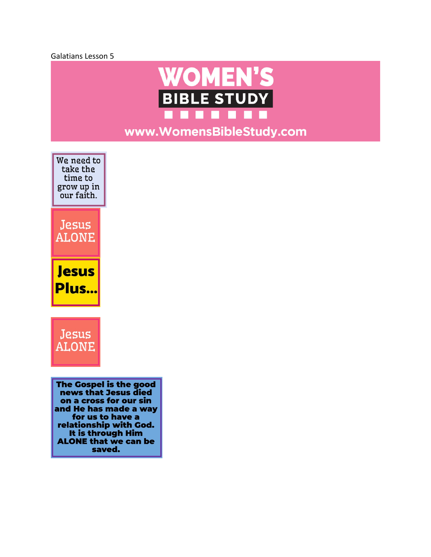



www.WomensBibleStudy.com

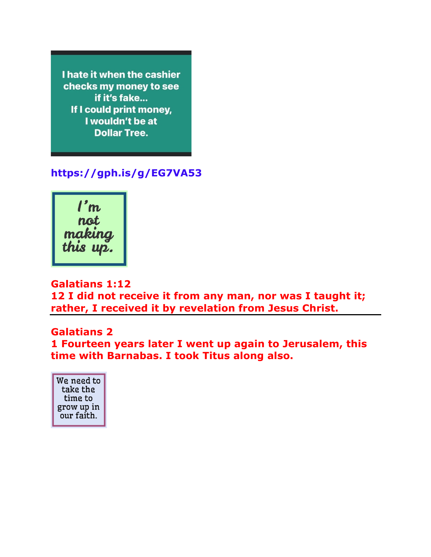I hate it when the cashier checks my money to see if it's fake... If I could print money, I wouldn't be at **Dollar Tree.** 

# **https://gph.is/g/EG7VA53**



### **Galatians 1:12**

**12 I did not receive it from any man, nor was I taught it; rather, I received it by revelation from Jesus Christ.**

#### **Galatians 2**

**1 Fourteen years later I went up again to Jerusalem, this time with Barnabas. I took Titus along also.** 

We need to take the time to grow up in our faith.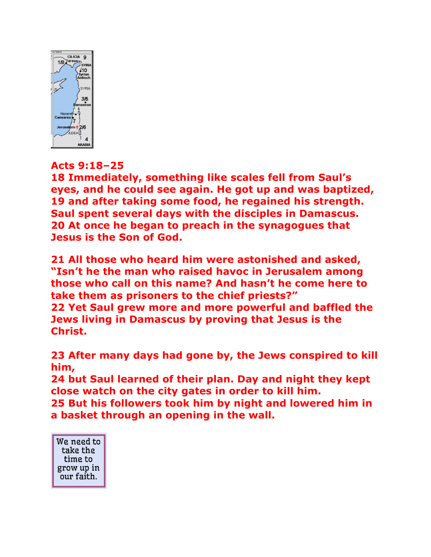

# **Acts 9:18–25**

**18 Immediately, something like scales fell from Saul's eyes, and he could see again. He got up and was baptized, 19 and after taking some food, he regained his strength. Saul spent several days with the disciples in Damascus. 20 At once he began to preach in the synagogues that Jesus is the Son of God.** 

**21 All those who heard him were astonished and asked, "Isn't he the man who raised havoc in Jerusalem among those who call on this name? And hasn't he come here to take them as prisoners to the chief priests?" 22 Yet Saul grew more and more powerful and baffled the Jews living in Damascus by proving that Jesus is the Christ.**

**23 After many days had gone by, the Jews conspired to kill him,** 

**24 but Saul learned of their plan. Day and night they kept close watch on the city gates in order to kill him. 25 But his followers took him by night and lowered him in a basket through an opening in the wall.** 

We need to take the time to grow up in our faith.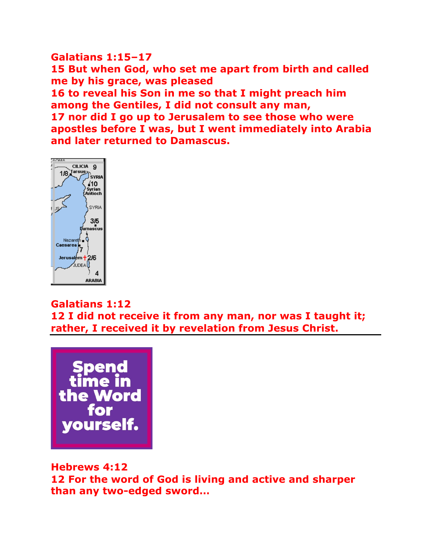### **Galatians 1:15–17 15 But when God, who set me apart from birth and called me by his grace, was pleased 16 to reveal his Son in me so that I might preach him among the Gentiles, I did not consult any man, 17 nor did I go up to Jerusalem to see those who were apostles before I was, but I went immediately into Arabia and later returned to Damascus.**



## **Galatians 1:12**

**12 I did not receive it from any man, nor was I taught it; rather, I received it by revelation from Jesus Christ.** 



## **Hebrews 4:12 12 For the word of God is living and active and sharper than any two-edged sword…**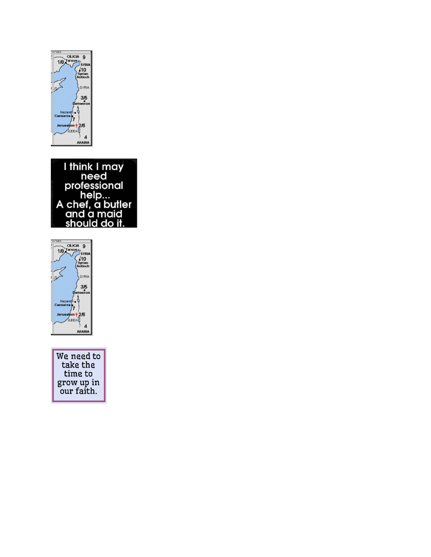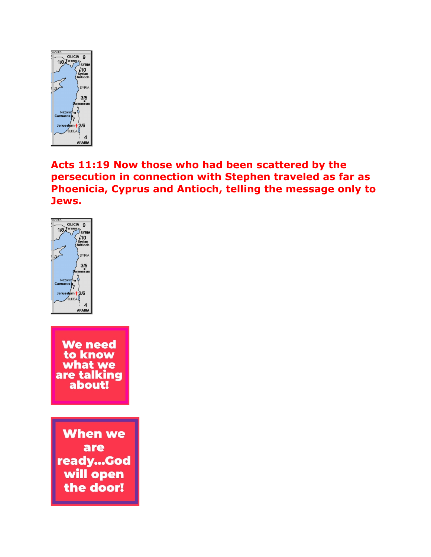

# **Acts 11:19 Now those who had been scattered by the persecution in connection with Stephen traveled as far as Phoenicia, Cyprus and Antioch, telling the message only to Jews.**

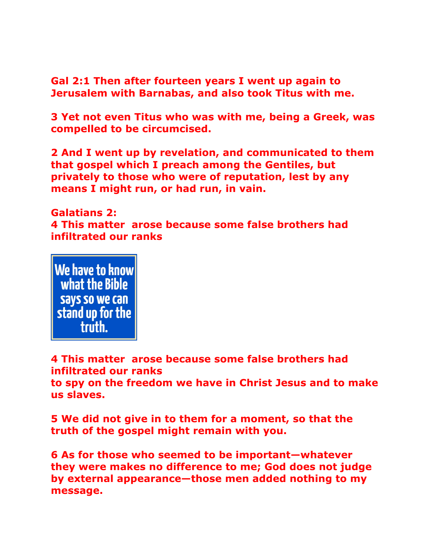**Gal 2:1 Then after fourteen years I went up again to Jerusalem with Barnabas, and also took Titus with me.**

**3 Yet not even Titus who was with me, being a Greek, was compelled to be circumcised.** 

**2 And I went up by revelation, and communicated to them that gospel which I preach among the Gentiles, but privately to those who were of reputation, lest by any means I might run, or had run, in vain.** 

**Galatians 2: 4 This matter arose because some false brothers had infiltrated our ranks**



**4 This matter arose because some false brothers had infiltrated our ranks to spy on the freedom we have in Christ Jesus and to make us slaves.**

**5 We did not give in to them for a moment, so that the truth of the gospel might remain with you.** 

**6 As for those who seemed to be important—whatever they were makes no difference to me; God does not judge by external appearance—those men added nothing to my message.**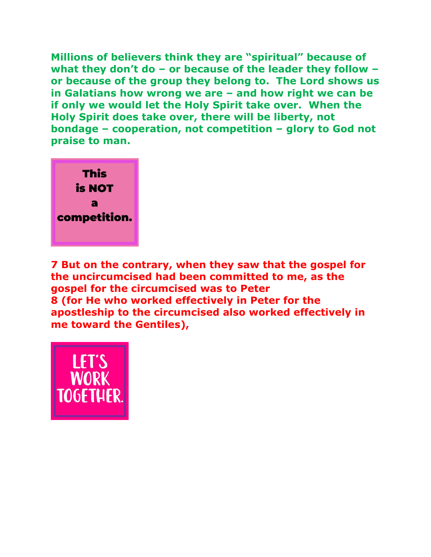**Millions of believers think they are "spiritual" because of what they don't do – or because of the leader they follow – or because of the group they belong to. The Lord shows us in Galatians how wrong we are – and how right we can be if only we would let the Holy Spirit take over. When the Holy Spirit does take over, there will be liberty, not bondage – cooperation, not competition – glory to God not praise to man.**



**7 But on the contrary, when they saw that the gospel for the uncircumcised had been committed to me, as the gospel for the circumcised was to Peter 8 (for He who worked effectively in Peter for the apostleship to the circumcised also worked effectively in me toward the Gentiles),** 

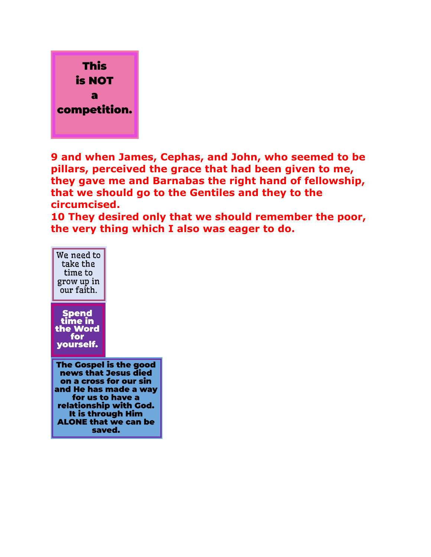

**9 and when James, Cephas, and John, who seemed to be pillars, perceived the grace that had been given to me, they gave me and Barnabas the right hand of fellowship, that we should go to the Gentiles and they to the circumcised.** 

**10 They desired only that we should remember the poor, the very thing which I also was eager to do.**